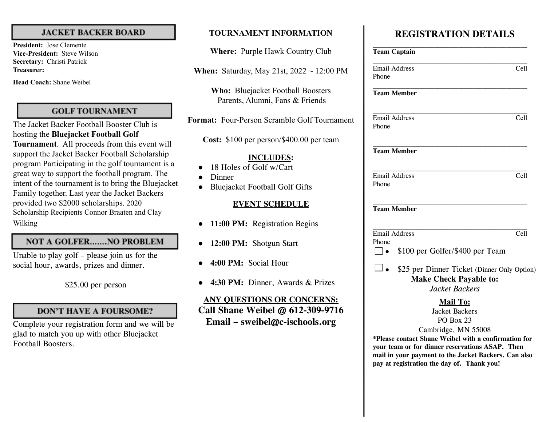#### **JACKET BACKER BOARD**

**President:** Jose Clemente **Vice-President:** Steve Wilson **Secretary:** Christi Patrick **Treasurer:**

**Head Coach:** Shane Weibel

#### **GOLF TOURNAMENT**

The Jacket Backer Football Booster Club is hosting the **Bluejacket Football Golf Tournament**. All proceeds from this event will support the Jacket Backer Football Scholarship program Participating in the golf tournament is a great way to support the football program. The intent of the tournament is to bring the Bluejacket Family together. Last year the Jacket Backers provided two \$2000 scholarships. 2020 Scholarship Recipients Connor Braaten and Clay Wilking

# **NOT A GOLFER.......NO PROBLEM**

Unable to play golf – please join us for the social hour, awards, prizes and dinner.

### **DON'T HAVE A FOURSOME?**

Complete your registration form and we will be glad to match you up with other Bluejacket Football Boosters.

# **TOURNAMENT INFORMATION**

**Where:** Purple Hawk Country Club

**When:** Saturday, May 21st, 2022 ~ 12:00 PM

**Who:** Bluejacket Football Boosters Parents, Alumni, Fans & Friends

**Format:** Four-Person Scramble Golf Tournament

**Cost:** \$100 per person/\$400.00 per team

#### **INCLUDES:**

- 18 Holes of Golf w/Cart
- **Dinner**
- **Bluejacket Football Golf Gifts**

#### **EVENT SCHEDULE**

- **11:00 PM:** Registration Begins
- **12:00 PM:** Shotgun Start
- **4:00 PM:** Social Hour
- **4:30 PM:** Dinner, Awards & Prizes

# **ANY QUESTIONS OR CONCERNS: Call Shane Weibel @ 612-309-9716 Email – sweibel@c-ischools.org**

# **REGISTRATION DETAILS**

| <b>Team Captain</b>                                                                                                                                                                            |      |
|------------------------------------------------------------------------------------------------------------------------------------------------------------------------------------------------|------|
| <b>Email Address</b><br>Phone                                                                                                                                                                  | Cell |
| <b>Team Member</b>                                                                                                                                                                             |      |
| <b>Email Address</b><br>Phone                                                                                                                                                                  | Cell |
| <b>Team Member</b>                                                                                                                                                                             |      |
| <b>Email Address</b><br>Phone                                                                                                                                                                  | Cell |
| <b>Team Member</b>                                                                                                                                                                             |      |
| <b>Email Address</b><br>Phone<br>\$100 per Golfer/\$400 per Team<br>$\overline{\phantom{a}}$                                                                                                   | Cell |
| \$25 per Dinner Ticket (Dinner Only Option)<br><b>Make Check Payable to:</b><br>Jacket Backers                                                                                                 |      |
| <b>Mail To:</b><br><b>Jacket Backers</b><br><b>PO Box 23</b><br>Cambridge, MN 55008<br>*Please contact Shane Weibel with a confirmation for<br>your team or for dinner reservations ASAP. Then |      |

**mail in your payment to the Jacket Backers. Can also pay at registration the day of. Thank you!**

<sup>\$25.00</sup> per person